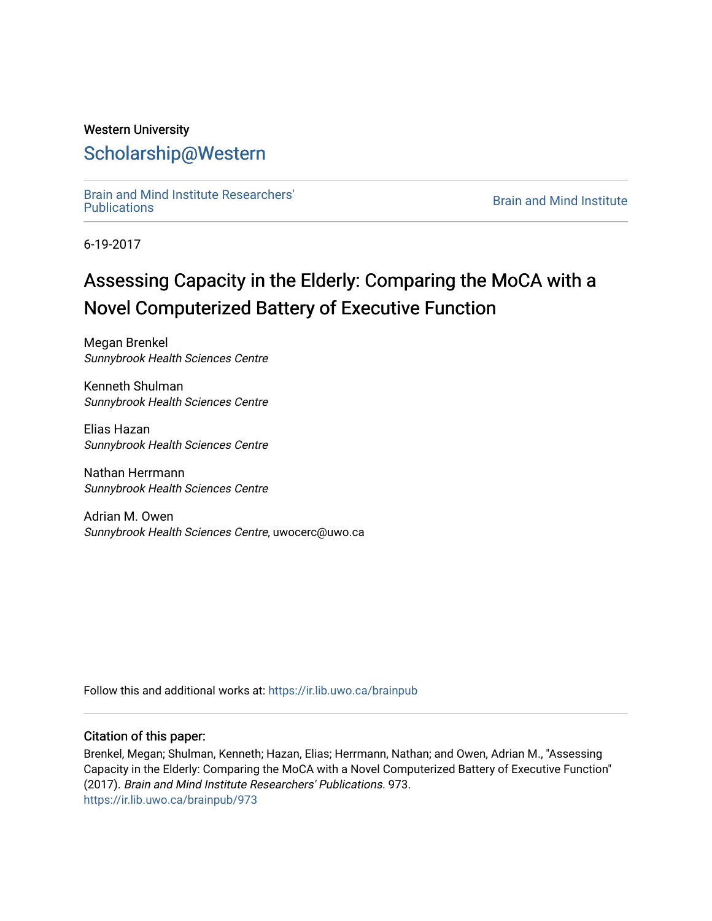## Western University [Scholarship@Western](https://ir.lib.uwo.ca/)

[Brain and Mind Institute Researchers'](https://ir.lib.uwo.ca/brainpub) 

**Brain and Mind Institute** 

6-19-2017

# Assessing Capacity in the Elderly: Comparing the MoCA with a Novel Computerized Battery of Executive Function

Megan Brenkel Sunnybrook Health Sciences Centre

Kenneth Shulman Sunnybrook Health Sciences Centre

Elias Hazan Sunnybrook Health Sciences Centre

Nathan Herrmann Sunnybrook Health Sciences Centre

Adrian M. Owen Sunnybrook Health Sciences Centre, uwocerc@uwo.ca

Follow this and additional works at: [https://ir.lib.uwo.ca/brainpub](https://ir.lib.uwo.ca/brainpub?utm_source=ir.lib.uwo.ca%2Fbrainpub%2F973&utm_medium=PDF&utm_campaign=PDFCoverPages)

## Citation of this paper:

Brenkel, Megan; Shulman, Kenneth; Hazan, Elias; Herrmann, Nathan; and Owen, Adrian M., "Assessing Capacity in the Elderly: Comparing the MoCA with a Novel Computerized Battery of Executive Function" (2017). Brain and Mind Institute Researchers' Publications. 973. [https://ir.lib.uwo.ca/brainpub/973](https://ir.lib.uwo.ca/brainpub/973?utm_source=ir.lib.uwo.ca%2Fbrainpub%2F973&utm_medium=PDF&utm_campaign=PDFCoverPages)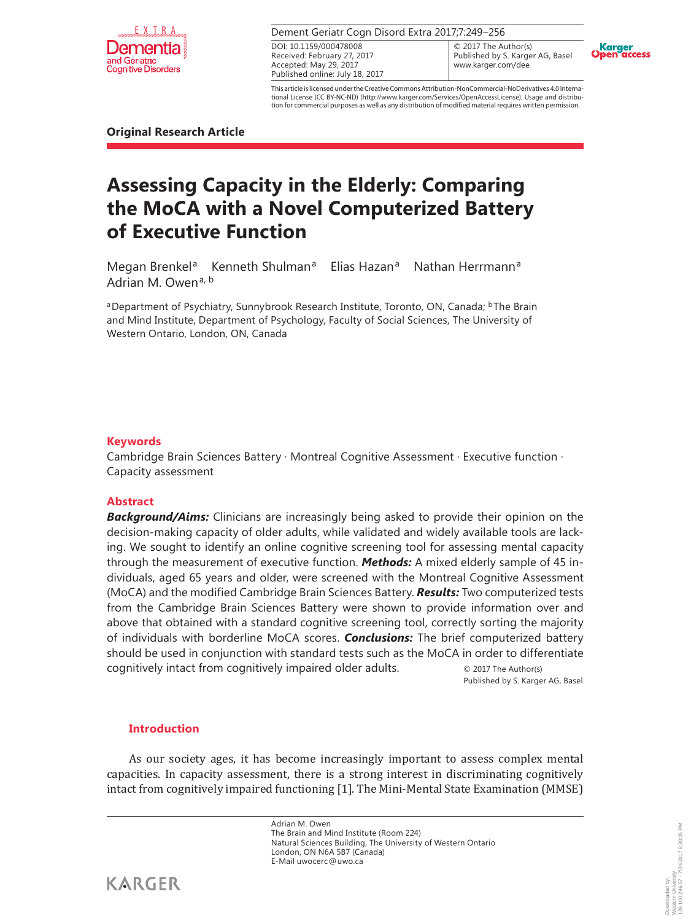

#### Dement Geriatr Cogn Disord Extra 2017;7:249–256

Received: February 27, 2017 Accepted: May 29, 2017 Published online: July 18, 2017 DOI: 10.1159/000478008

© 2017 The Author(s) Published by S. Karger AG, Basel www.karger.com/dee



This article is licensed under the Creative Commons Attribution-NonCommercial-NoDerivatives 4.0 International License (CC BY-NC-ND) (http://www.karger.com/Services/OpenAccessLicense). Usage and distribution for commercial purposes as well as any distribution of modified material requires written permission.

**Original Research Article**

## **Assessing Capacity in the Elderly: Comparing the MoCA with a Novel Computerized Battery of Executive Function**

Megan Brenkel<sup>a</sup> Kenneth Shulman<sup>a</sup> Elias Hazan<sup>a</sup> Nathan Herrmann<sup>a</sup> Adrian M. Owen<sup>a, b</sup>

aDepartment of Psychiatry, Sunnybrook Research Institute, Toronto, ON, Canada; <sup>b</sup>The Brain and Mind Institute, Department of Psychology, Faculty of Social Sciences, The University of Western Ontario, London, ON, Canada

#### **Keywords**

Cambridge Brain Sciences Battery · Montreal Cognitive Assessment · Executive function · Capacity assessment

#### **Abstract**

**Background/Aims:** Clinicians are increasingly being asked to provide their opinion on the decision-making capacity of older adults, while validated and widely available tools are lacking. We sought to identify an online cognitive screening tool for assessing mental capacity through the measurement of executive function. *Methods:* A mixed elderly sample of 45 individuals, aged 65 years and older, were screened with the Montreal Cognitive Assessment (MoCA) and the modified Cambridge Brain Sciences Battery. *Results:* Two computerized tests from the Cambridge Brain Sciences Battery were shown to provide information over and above that obtained with a standard cognitive screening tool, correctly sorting the majority of individuals with borderline MoCA scores. *Conclusions:* The brief computerized battery should be used in conjunction with standard tests such as the MoCA in order to differentiate cognitively intact from cognitively impaired older adults. © 2017 The Author(s)

Published by S. Karger AG, Basel

## **Introduction**

As our society ages, it has become increasingly important to assess complex mental capacities. In capacity assessment, there is a strong interest in discriminating cognitively intact from cognitively impaired functioning [1]. The Mini-Mental State Examination (MMSE)

> Adrian M. Owen The Brain and Mind Institute (Room 224) Natural Sciences Building, The University of Western Ontario London, ON N6A 5B7 (Canada) E-Mail uwocerc@uwo.ca

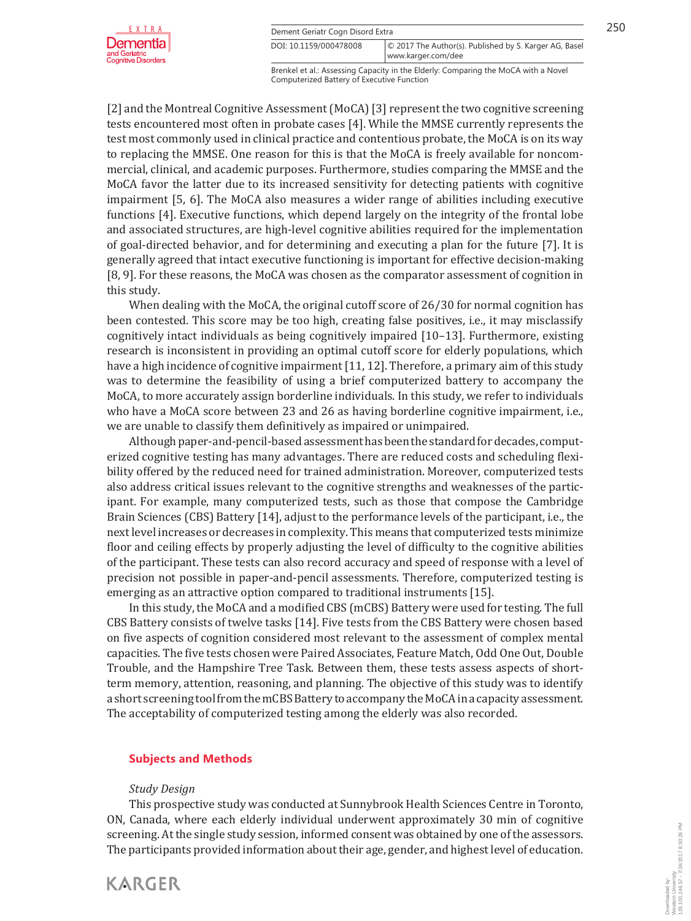



Brenkel et al.: Assessing Capacity in the Elderly: Comparing the MoCA with a Novel www.karger.com/dee DOI: 10.1159/000478008 © 2017 The Author(s). Published by S. Karger AG, Basel

Computerized Battery of Executive Function

[2] and the Montreal Cognitive Assessment (MoCA) [3] represent the two cognitive screening tests encountered most often in probate cases [4]. While the MMSE currently represents the test most commonly used in clinical practice and contentious probate, the MoCA is on its way to replacing the MMSE. One reason for this is that the MoCA is freely available for noncommercial, clinical, and academic purposes. Furthermore, studies comparing the MMSE and the MoCA favor the latter due to its increased sensitivity for detecting patients with cognitive impairment [5, 6]. The MoCA also measures a wider range of abilities including executive functions [4]. Executive functions, which depend largely on the integrity of the frontal lobe and associated structures, are high-level cognitive abilities required for the implementation of goal-directed behavior, and for determining and executing a plan for the future [7]. It is generally agreed that intact executive functioning is important for effective decision-making [8, 9]. For these reasons, the MoCA was chosen as the comparator assessment of cognition in this study.

When dealing with the MoCA, the original cutoff score of 26/30 for normal cognition has been contested. This score may be too high, creating false positives, i.e., it may misclassify cognitively intact individuals as being cognitively impaired [10–13]. Furthermore, existing research is inconsistent in providing an optimal cutoff score for elderly populations, which have a high incidence of cognitive impairment [11, 12]. Therefore, a primary aim of this study was to determine the feasibility of using a brief computerized battery to accompany the MoCA, to more accurately assign borderline individuals. In this study, we refer to individuals who have a MoCA score between 23 and 26 as having borderline cognitive impairment, i.e., we are unable to classify them definitively as impaired or unimpaired.

Although paper-and-pencil-based assessment has been the standard for decades, computerized cognitive testing has many advantages. There are reduced costs and scheduling flexibility offered by the reduced need for trained administration. Moreover, computerized tests also address critical issues relevant to the cognitive strengths and weaknesses of the participant. For example, many computerized tests, such as those that compose the Cambridge Brain Sciences (CBS) Battery [14], adjust to the performance levels of the participant, i.e., the next level increases or decreases in complexity. This means that computerized tests minimize floor and ceiling effects by properly adjusting the level of difficulty to the cognitive abilities of the participant. These tests can also record accuracy and speed of response with a level of precision not possible in paper-and-pencil assessments. Therefore, computerized testing is emerging as an attractive option compared to traditional instruments [15].

In this study, the MoCA and a modified CBS (mCBS) Battery were used for testing. The full CBS Battery consists of twelve tasks [14]. Five tests from the CBS Battery were chosen based on five aspects of cognition considered most relevant to the assessment of complex mental capacities. The five tests chosen were Paired Associates, Feature Match, Odd One Out, Double Trouble, and the Hampshire Tree Task. Between them, these tests assess aspects of shortterm memory, attention, reasoning, and planning. The objective of this study was to identify a short screening tool from the mCBS Battery to accompany the MoCA in a capacity assessment. The acceptability of computerized testing among the elderly was also recorded.

#### **Subjects and Methods**

## *Study Design*

This prospective study was conducted at Sunnybrook Health Sciences Centre in Toronto, ON, Canada, where each elderly individual underwent approximately 30 min of cognitive screening. At the single study session, informed consent was obtained by one of the assessors. The participants provided information about their age, gender, and highest level of education.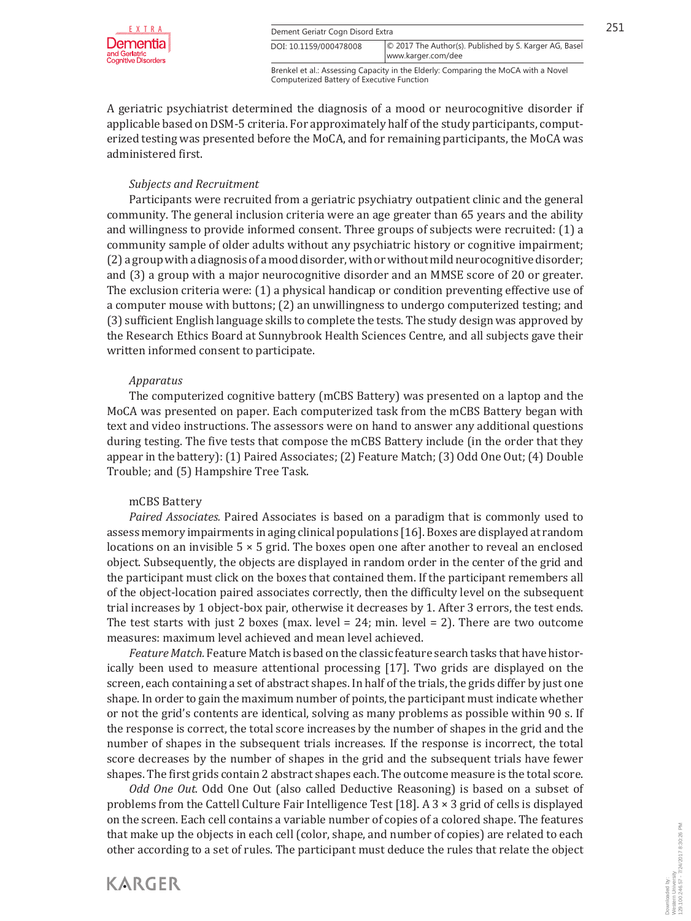

Brenkel et al.: Assessing Capacity in the Elderly: Comparing the MoCA with a Novel Computerized Battery of Executive Function

A geriatric psychiatrist determined the diagnosis of a mood or neurocognitive disorder if applicable based on DSM-5 criteria. For approximately half of the study participants, computerized testing was presented before the MoCA, and for remaining participants, the MoCA was administered first.

## *Subjects and Recruitment*

Participants were recruited from a geriatric psychiatry outpatient clinic and the general community. The general inclusion criteria were an age greater than 65 years and the ability and willingness to provide informed consent. Three groups of subjects were recruited: (1) a community sample of older adults without any psychiatric history or cognitive impairment; (2) a group with a diagnosis of a mood disorder, with or without mild neurocognitive disorder; and (3) a group with a major neurocognitive disorder and an MMSE score of 20 or greater. The exclusion criteria were: (1) a physical handicap or condition preventing effective use of a computer mouse with buttons; (2) an unwillingness to undergo computerized testing; and (3) sufficient English language skills to complete the tests. The study design was approved by the Research Ethics Board at Sunnybrook Health Sciences Centre, and all subjects gave their written informed consent to participate.

## *Apparatus*

The computerized cognitive battery (mCBS Battery) was presented on a laptop and the MoCA was presented on paper. Each computerized task from the mCBS Battery began with text and video instructions. The assessors were on hand to answer any additional questions during testing. The five tests that compose the mCBS Battery include (in the order that they appear in the battery): (1) Paired Associates; (2) Feature Match; (3) Odd One Out; (4) Double Trouble; and (5) Hampshire Tree Task.

## mCBS Battery

**KARGER** 

*Paired Associates.* Paired Associates is based on a paradigm that is commonly used to assess memory impairments in aging clinical populations [16]. Boxes are displayed at random locations on an invisible  $5 \times 5$  grid. The boxes open one after another to reveal an enclosed object. Subsequently, the objects are displayed in random order in the center of the grid and the participant must click on the boxes that contained them. If the participant remembers all of the object-location paired associates correctly, then the difficulty level on the subsequent trial increases by 1 object-box pair, otherwise it decreases by 1. After 3 errors, the test ends. The test starts with just 2 boxes (max. level  $= 24$ ; min. level  $= 2$ ). There are two outcome measures: maximum level achieved and mean level achieved.

*Feature Match.* Feature Match is based on the classic feature search tasks that have historically been used to measure attentional processing [17]. Two grids are displayed on the screen, each containing a set of abstract shapes. In half of the trials, the grids differ by just one shape. In order to gain the maximum number of points, the participant must indicate whether or not the grid's contents are identical, solving as many problems as possible within 90 s. If the response is correct, the total score increases by the number of shapes in the grid and the number of shapes in the subsequent trials increases. If the response is incorrect, the total score decreases by the number of shapes in the grid and the subsequent trials have fewer shapes. The first grids contain 2 abstract shapes each. The outcome measure is the total score.

*Odd One Out.* Odd One Out (also called Deductive Reasoning) is based on a subset of problems from the Cattell Culture Fair Intelligence Test [18]. A 3 × 3 grid of cells is displayed on the screen. Each cell contains a variable number of copies of a colored shape. The features that make up the objects in each cell (color, shape, and number of copies) are related to each other according to a set of rules. The participant must deduce the rules that relate the object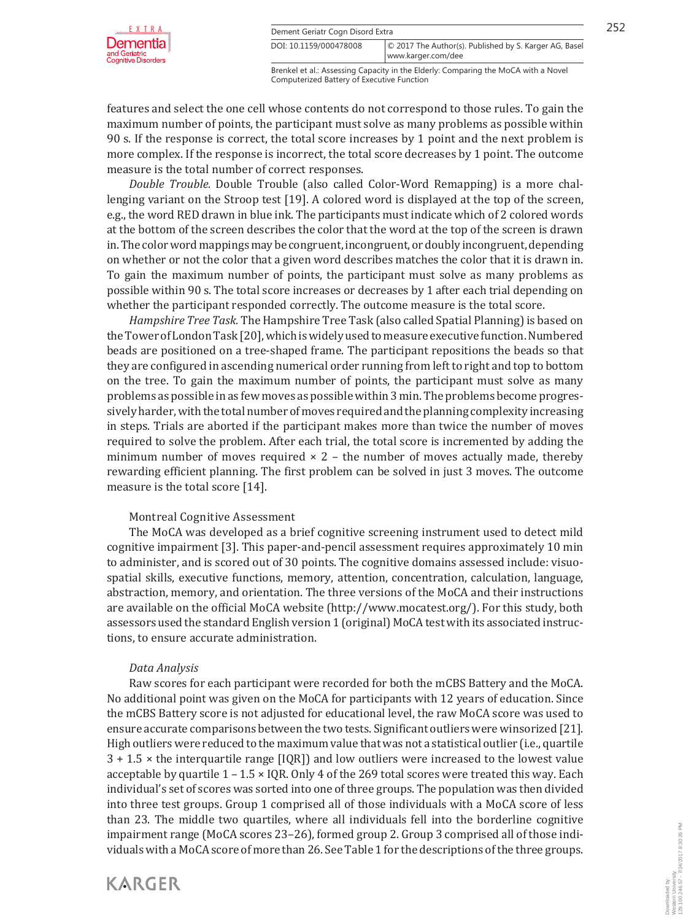

**Dement Geriatr Cogn Disord Extra** 252 www.karger.com/dee DOI: 10.1159/000478008 © 2017 The Author(s). Published by S. Karger AG, Basel

Brenkel et al.: Assessing Capacity in the Elderly: Comparing the MoCA with a Novel Computerized Battery of Executive Function

features and select the one cell whose contents do not correspond to those rules. To gain the maximum number of points, the participant must solve as many problems as possible within 90 s. If the response is correct, the total score increases by 1 point and the next problem is more complex. If the response is incorrect, the total score decreases by 1 point. The outcome measure is the total number of correct responses.

*Double Trouble.* Double Trouble (also called Color-Word Remapping) is a more challenging variant on the Stroop test [19]. A colored word is displayed at the top of the screen, e.g., the word RED drawn in blue ink. The participants must indicate which of 2 colored words at the bottom of the screen describes the color that the word at the top of the screen is drawn in. The color word mappings may be congruent, incongruent, or doubly incongruent, depending on whether or not the color that a given word describes matches the color that it is drawn in. To gain the maximum number of points, the participant must solve as many problems as possible within 90 s. The total score increases or decreases by 1 after each trial depending on whether the participant responded correctly. The outcome measure is the total score.

*Hampshire Tree Task.* The Hampshire Tree Task (also called Spatial Planning) is based on the Tower of London Task [20], which is widely used to measure executive function. Numbered beads are positioned on a tree-shaped frame. The participant repositions the beads so that they are configured in ascending numerical order running from left to right and top to bottom on the tree. To gain the maximum number of points, the participant must solve as many problems as possible in as few moves as possible within 3 min. The problems become progressively harder, with the total number of moves required and the planning complexity increasing in steps. Trials are aborted if the participant makes more than twice the number of moves required to solve the problem. After each trial, the total score is incremented by adding the minimum number of moves required  $\times$  2 – the number of moves actually made, thereby rewarding efficient planning. The first problem can be solved in just 3 moves. The outcome measure is the total score [14].

## Montreal Cognitive Assessment

The MoCA was developed as a brief cognitive screening instrument used to detect mild cognitive impairment [3]. This paper-and-pencil assessment requires approximately 10 min to administer, and is scored out of 30 points. The cognitive domains assessed include: visuospatial skills, executive functions, memory, attention, concentration, calculation, language, abstraction, memory, and orientation. The three versions of the MoCA and their instructions are available on the official MoCA website (http://www.mocatest.org/). For this study, both assessors used the standard English version 1 (original) MoCA test with its associated instructions, to ensure accurate administration.

## *Data Analysis*

Raw scores for each participant were recorded for both the mCBS Battery and the MoCA. No additional point was given on the MoCA for participants with 12 years of education. Since the mCBS Battery score is not adjusted for educational level, the raw MoCA score was used to ensure accurate comparisons between the two tests. Significant outliers were winsorized [21]. High outliers were reduced to the maximum value that was not a statistical outlier (i.e., quartile 3 + 1.5 × the interquartile range [IQR]) and low outliers were increased to the lowest value acceptable by quartile 1 – 1.5 × IQR. Only 4 of the 269 total scores were treated this way. Each individual's set of scores was sorted into one of three groups. The population was then divided into three test groups. Group 1 comprised all of those individuals with a MoCA score of less than 23. The middle two quartiles, where all individuals fell into the borderline cognitive impairment range (MoCA scores 23–26), formed group 2. Group 3 comprised all of those individuals with a MoCA score of more than 26. See Table 1 for the descriptions of the three groups.



Downloaded by: Western University

129.100.246.57 - 7/24/2017 8:30:26 PM

Downloaded by:<br>Western University<br>129.100.246.57 - 7/24/2017 8:30:26 PM

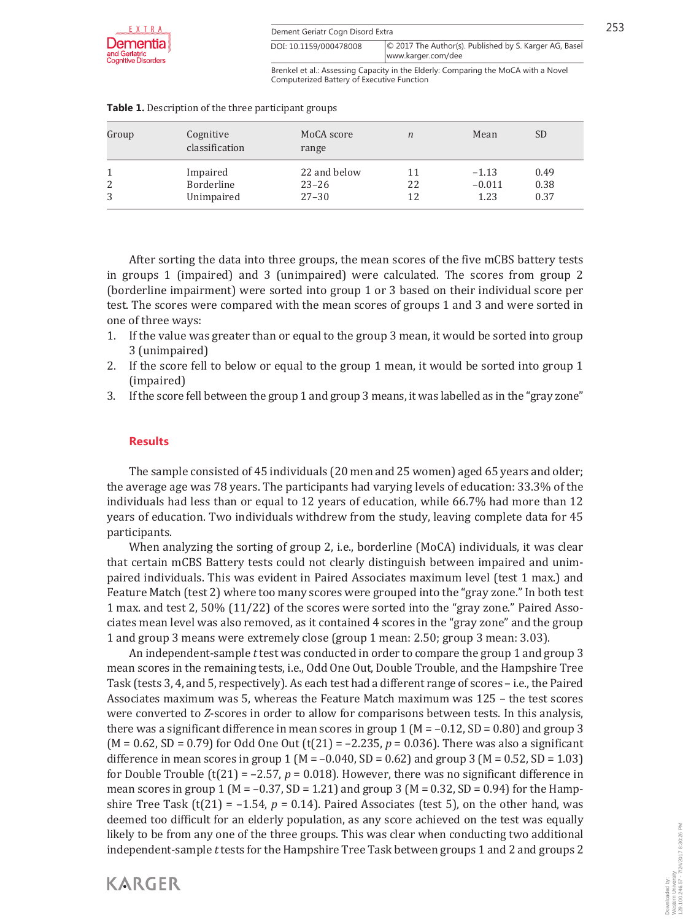| Dement Geriatr Cogn Disord Extra |  |  |  |
|----------------------------------|--|--|--|
|                                  |  |  |  |

| E. X. T. R. A.           | Dement Geriatr Cogn Disord Extra |                                                        |  |
|--------------------------|----------------------------------|--------------------------------------------------------|--|
| nentia‡                  | DOI: 10.1159/000478008           | © 2017 The Author(s). Published by S. Karger AG, Basel |  |
| riatric<br>in Dinneylorn |                                  | www.karger.com/dee                                     |  |

Brenkel et al.: Assessing Capacity in the Elderly: Comparing the MoCA with a Novel Computerized Battery of Executive Function

| Group  | Cognitive<br>classification          | MoCA score<br>range                    | $\boldsymbol{n}$ | Mean                        | <b>SD</b>            |
|--------|--------------------------------------|----------------------------------------|------------------|-----------------------------|----------------------|
| 2<br>3 | Impaired<br>Borderline<br>Unimpaired | 22 and below<br>$23 - 26$<br>$27 - 30$ | 11<br>22<br>12   | $-1.13$<br>$-0.011$<br>1.23 | 0.49<br>0.38<br>0.37 |

#### **Table 1.** Description of the three participant groups

After sorting the data into three groups, the mean scores of the five mCBS battery tests in groups 1 (impaired) and 3 (unimpaired) were calculated. The scores from group 2 (borderline impairment) were sorted into group 1 or 3 based on their individual score per test. The scores were compared with the mean scores of groups 1 and 3 and were sorted in one of three ways:

- 1. If the value was greater than or equal to the group 3 mean, it would be sorted into group 3 (unimpaired)
- 2. If the score fell to below or equal to the group 1 mean, it would be sorted into group 1 (impaired)
- 3. If the score fell between the group 1 and group 3 means, it was labelled as in the "gray zone"

## **Results**

**KARGER** 

The sample consisted of 45 individuals (20 men and 25 women) aged 65 years and older; the average age was 78 years. The participants had varying levels of education: 33.3% of the individuals had less than or equal to 12 years of education, while 66.7% had more than 12 years of education. Two individuals withdrew from the study, leaving complete data for 45 participants.

When analyzing the sorting of group 2, i.e., borderline (MoCA) individuals, it was clear that certain mCBS Battery tests could not clearly distinguish between impaired and unimpaired individuals. This was evident in Paired Associates maximum level (test 1 max.) and Feature Match (test 2) where too many scores were grouped into the "gray zone." In both test 1 max. and test 2, 50% (11/22) of the scores were sorted into the "gray zone." Paired Associates mean level was also removed, as it contained 4 scores in the "gray zone" and the group 1 and group 3 means were extremely close (group 1 mean: 2.50; group 3 mean: 3.03).

An independent-sample *t* test was conducted in order to compare the group 1 and group 3 mean scores in the remaining tests, i.e., Odd One Out, Double Trouble, and the Hampshire Tree Task (tests 3, 4, and 5, respectively). As each test had a different range of scores – i.e., the Paired Associates maximum was 5, whereas the Feature Match maximum was 125 – the test scores were converted to *Z*-scores in order to allow for comparisons between tests. In this analysis, there was a significant difference in mean scores in group 1 ( $M = -0.12$ , SD = 0.80) and group 3 ( $M = 0.62$ ,  $SD = 0.79$ ) for Odd One Out (t(21) = -2.235,  $p = 0.036$ ). There was also a significant difference in mean scores in group 1 ( $M = -0.040$ , SD = 0.62) and group 3 ( $M = 0.52$ , SD = 1.03) for Double Trouble ( $t(21) = -2.57$ ,  $p = 0.018$ ). However, there was no significant difference in mean scores in group 1 ( $M = -0.37$ ,  $SD = 1.21$ ) and group 3 ( $M = 0.32$ ,  $SD = 0.94$ ) for the Hampshire Tree Task  $(t(21) = -1.54, p = 0.14)$ . Paired Associates (test 5), on the other hand, was deemed too difficult for an elderly population, as any score achieved on the test was equally likely to be from any one of the three groups. This was clear when conducting two additional independent-sample *t* tests for the Hampshire Tree Task between groups 1 and 2 and groups 2

Downloaded by: Western University

129.100.246.57 - 7/24/2017 8:30:26 PM

Downloaded by:<br>Western University<br>129.100.246.57 - 7/24/2017 8:30:26 PM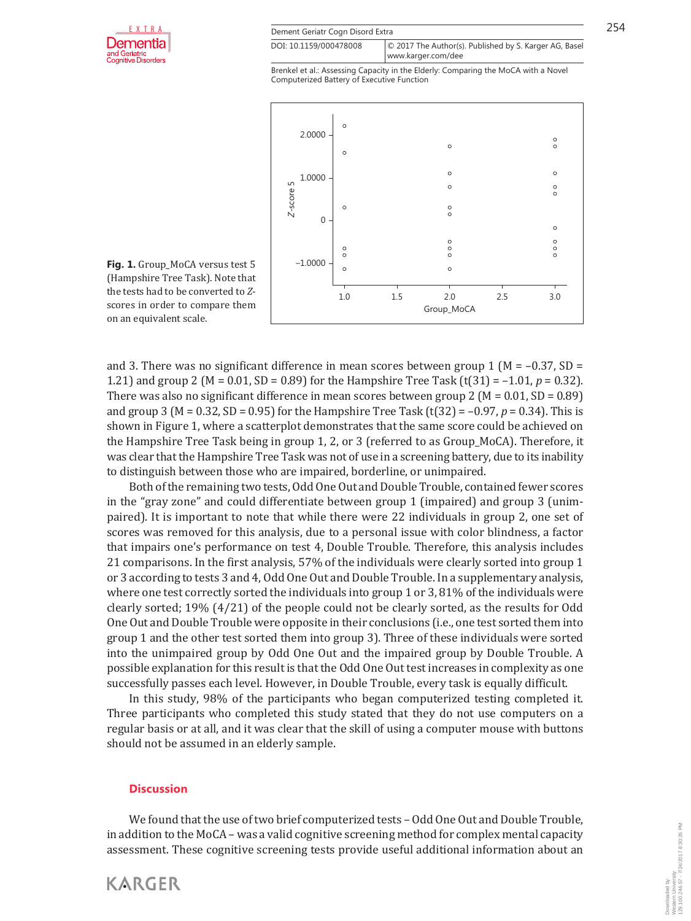

| $E_{\mu\nu}$ $\lambda_{\mu\nu}$ $\bar{\lambda}_{\nu}$ , $\lambda_{\mu\nu}$ | Dement Geriatr Cogn Disord Extra |                                                        |  |
|----------------------------------------------------------------------------|----------------------------------|--------------------------------------------------------|--|
| nentia‡                                                                    | DOI: 10.1159/000478008           | © 2017 The Author(s). Published by S. Karger AG, Basel |  |
| riatric<br>in Dinordoro                                                    |                                  | www.karger.com/dee                                     |  |

Brenkel et al.: Assessing Capacity in the Elderly: Comparing the MoCA with a Novel Computerized Battery of Executive Function



**Fig. 1.** Group\_MoCA versus test 5 (Hampshire Tree Task). Note that the tests had to be converted to *Z*scores in order to compare them on an equivalent scale.

and 3. There was no significant difference in mean scores between group 1 ( $M = -0.37$ , SD = 1.21) and group 2 ( $M = 0.01$ ,  $SD = 0.89$ ) for the Hampshire Tree Task (t(31) = -1.01,  $p = 0.32$ ). There was also no significant difference in mean scores between group 2 ( $M = 0.01$ , SD = 0.89) and group 3 (M = 0.32, SD = 0.95) for the Hampshire Tree Task (t(32) =  $-0.97$ ,  $p = 0.34$ ). This is shown in Figure 1, where a scatterplot demonstrates that the same score could be achieved on the Hampshire Tree Task being in group 1, 2, or 3 (referred to as Group\_MoCA). Therefore, it was clear that the Hampshire Tree Task was not of use in a screening battery, due to its inability to distinguish between those who are impaired, borderline, or unimpaired.

Both of the remaining two tests, Odd One Out and Double Trouble, contained fewer scores in the "gray zone" and could differentiate between group 1 (impaired) and group 3 (unimpaired). It is important to note that while there were 22 individuals in group 2, one set of scores was removed for this analysis, due to a personal issue with color blindness, a factor that impairs one's performance on test 4, Double Trouble. Therefore, this analysis includes 21 comparisons. In the first analysis, 57% of the individuals were clearly sorted into group 1 or 3 according to tests 3 and 4, Odd One Out and Double Trouble. In a supplementary analysis, where one test correctly sorted the individuals into group 1 or 3, 81% of the individuals were clearly sorted; 19% (4/21) of the people could not be clearly sorted, as the results for Odd One Out and Double Trouble were opposite in their conclusions (i.e., one test sorted them into group 1 and the other test sorted them into group 3). Three of these individuals were sorted into the unimpaired group by Odd One Out and the impaired group by Double Trouble. A possible explanation for this result is that the Odd One Out test increases in complexity as one successfully passes each level. However, in Double Trouble, every task is equally difficult.

In this study, 98% of the participants who began computerized testing completed it. Three participants who completed this study stated that they do not use computers on a regular basis or at all, and it was clear that the skill of using a computer mouse with buttons should not be assumed in an elderly sample.

#### **Discussion**

**KARGER** 

We found that the use of two brief computerized tests – Odd One Out and Double Trouble, in addition to the MoCA – was a valid cognitive screening method for complex mental capacity assessment. These cognitive screening tests provide useful additional information about an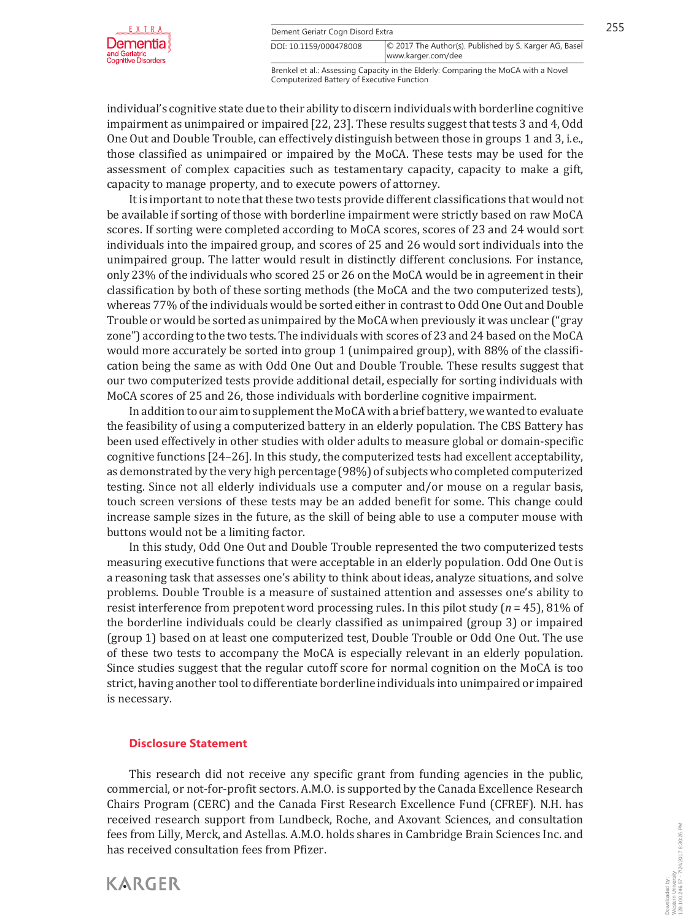

**Example 1255** Dement Geriatr Cogn Disord Extra 255 www.karger.com/dee DOI: 10.1159/000478008 © 2017 The Author(s). Published by S. Karger AG, Basel

Brenkel et al.: Assessing Capacity in the Elderly: Comparing the MoCA with a Novel Computerized Battery of Executive Function

individual's cognitive state due to their ability to discern individuals with borderline cognitive impairment as unimpaired or impaired [22, 23]. These results suggest that tests 3 and 4, Odd One Out and Double Trouble, can effectively distinguish between those in groups 1 and 3, i.e., those classified as unimpaired or impaired by the MoCA. These tests may be used for the assessment of complex capacities such as testamentary capacity, capacity to make a gift, capacity to manage property, and to execute powers of attorney.

It is important to note that these two tests provide different classifications that would not be available if sorting of those with borderline impairment were strictly based on raw MoCA scores. If sorting were completed according to MoCA scores, scores of 23 and 24 would sort individuals into the impaired group, and scores of 25 and 26 would sort individuals into the unimpaired group. The latter would result in distinctly different conclusions. For instance, only 23% of the individuals who scored 25 or 26 on the MoCA would be in agreement in their classification by both of these sorting methods (the MoCA and the two computerized tests), whereas 77% of the individuals would be sorted either in contrast to Odd One Out and Double Trouble or would be sorted as unimpaired by the MoCA when previously it was unclear ("gray zone") according to the two tests. The individuals with scores of 23 and 24 based on the MoCA would more accurately be sorted into group 1 (unimpaired group), with 88% of the classification being the same as with Odd One Out and Double Trouble. These results suggest that our two computerized tests provide additional detail, especially for sorting individuals with MoCA scores of 25 and 26, those individuals with borderline cognitive impairment.

In addition to our aim to supplement the MoCA with a brief battery, we wanted to evaluate the feasibility of using a computerized battery in an elderly population. The CBS Battery has been used effectively in other studies with older adults to measure global or domain-specific cognitive functions [24–26]. In this study, the computerized tests had excellent acceptability, as demonstrated by the very high percentage (98%) of subjects who completed computerized testing. Since not all elderly individuals use a computer and/or mouse on a regular basis, touch screen versions of these tests may be an added benefit for some. This change could increase sample sizes in the future, as the skill of being able to use a computer mouse with buttons would not be a limiting factor.

In this study, Odd One Out and Double Trouble represented the two computerized tests measuring executive functions that were acceptable in an elderly population. Odd One Out is a reasoning task that assesses one's ability to think about ideas, analyze situations, and solve problems. Double Trouble is a measure of sustained attention and assesses one's ability to resist interference from prepotent word processing rules. In this pilot study (*n* = 45), 81% of the borderline individuals could be clearly classified as unimpaired (group 3) or impaired (group 1) based on at least one computerized test, Double Trouble or Odd One Out. The use of these two tests to accompany the MoCA is especially relevant in an elderly population. Since studies suggest that the regular cutoff score for normal cognition on the MoCA is too strict, having another tool to differentiate borderline individuals into unimpaired or impaired is necessary.

#### **Disclosure Statement**

This research did not receive any specific grant from funding agencies in the public, commercial, or not-for-profit sectors. A.M.O. is supported by the Canada Excellence Research Chairs Program (CERC) and the Canada First Research Excellence Fund (CFREF). N.H. has received research support from Lundbeck, Roche, and Axovant Sciences, and consultation fees from Lilly, Merck, and Astellas. A.M.O. holds shares in Cambridge Brain Sciences Inc. and has received consultation fees from Pfizer.